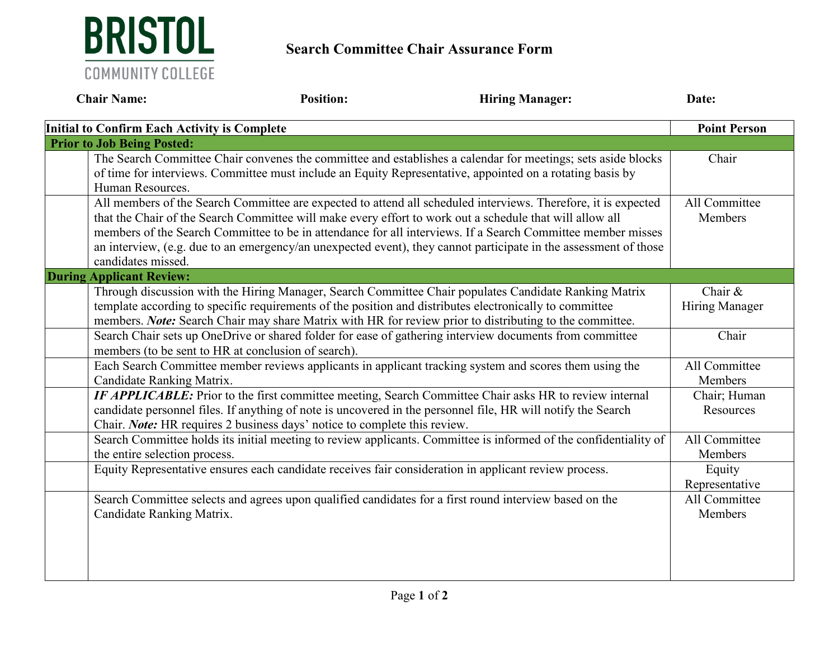

## **Search Committee Chair Assurance Form**

| <b>Chair Name:</b>                                                                                                                                                                                                                                                                                                          | <b>Position:</b> | <b>Hiring Manager:</b>                                                                                                                                                                                                                                                                                                                                                                                                                                        | Date:                        |
|-----------------------------------------------------------------------------------------------------------------------------------------------------------------------------------------------------------------------------------------------------------------------------------------------------------------------------|------------------|---------------------------------------------------------------------------------------------------------------------------------------------------------------------------------------------------------------------------------------------------------------------------------------------------------------------------------------------------------------------------------------------------------------------------------------------------------------|------------------------------|
| <b>Initial to Confirm Each Activity is Complete</b>                                                                                                                                                                                                                                                                         |                  |                                                                                                                                                                                                                                                                                                                                                                                                                                                               | <b>Point Person</b>          |
| <b>Prior to Job Being Posted:</b>                                                                                                                                                                                                                                                                                           |                  |                                                                                                                                                                                                                                                                                                                                                                                                                                                               |                              |
| Human Resources.                                                                                                                                                                                                                                                                                                            |                  | The Search Committee Chair convenes the committee and establishes a calendar for meetings; sets aside blocks<br>of time for interviews. Committee must include an Equity Representative, appointed on a rotating basis by                                                                                                                                                                                                                                     | Chair                        |
| candidates missed.                                                                                                                                                                                                                                                                                                          |                  | All members of the Search Committee are expected to attend all scheduled interviews. Therefore, it is expected<br>that the Chair of the Search Committee will make every effort to work out a schedule that will allow all<br>members of the Search Committee to be in attendance for all interviews. If a Search Committee member misses<br>an interview, (e.g. due to an emergency/an unexpected event), they cannot participate in the assessment of those | All Committee<br>Members     |
| <b>During Applicant Review:</b>                                                                                                                                                                                                                                                                                             |                  |                                                                                                                                                                                                                                                                                                                                                                                                                                                               |                              |
| Through discussion with the Hiring Manager, Search Committee Chair populates Candidate Ranking Matrix<br>template according to specific requirements of the position and distributes electronically to committee<br>members. Note: Search Chair may share Matrix with HR for review prior to distributing to the committee. |                  |                                                                                                                                                                                                                                                                                                                                                                                                                                                               | Chair $\&$<br>Hiring Manager |
| Search Chair sets up OneDrive or shared folder for ease of gathering interview documents from committee<br>members (to be sent to HR at conclusion of search).                                                                                                                                                              |                  |                                                                                                                                                                                                                                                                                                                                                                                                                                                               | Chair                        |
| Candidate Ranking Matrix.                                                                                                                                                                                                                                                                                                   |                  | Each Search Committee member reviews applicants in applicant tracking system and scores them using the                                                                                                                                                                                                                                                                                                                                                        | All Committee<br>Members     |
| IF APPLICABLE: Prior to the first committee meeting, Search Committee Chair asks HR to review internal<br>candidate personnel files. If anything of note is uncovered in the personnel file, HR will notify the Search<br>Chair. Note: HR requires 2 business days' notice to complete this review.                         |                  |                                                                                                                                                                                                                                                                                                                                                                                                                                                               | Chair; Human<br>Resources    |
| the entire selection process.                                                                                                                                                                                                                                                                                               |                  | Search Committee holds its initial meeting to review applicants. Committee is informed of the confidentiality of                                                                                                                                                                                                                                                                                                                                              | All Committee<br>Members     |
|                                                                                                                                                                                                                                                                                                                             |                  | Equity Representative ensures each candidate receives fair consideration in applicant review process.                                                                                                                                                                                                                                                                                                                                                         | Equity<br>Representative     |
| Candidate Ranking Matrix.                                                                                                                                                                                                                                                                                                   |                  | Search Committee selects and agrees upon qualified candidates for a first round interview based on the                                                                                                                                                                                                                                                                                                                                                        | All Committee<br>Members     |
|                                                                                                                                                                                                                                                                                                                             |                  |                                                                                                                                                                                                                                                                                                                                                                                                                                                               |                              |